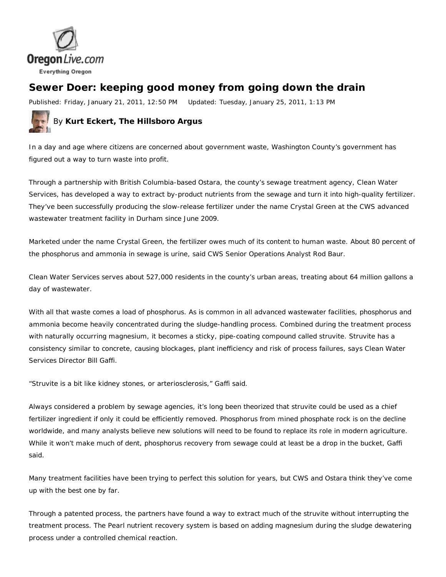

## **Sewer Doer: keeping good money from going down the drain**

Published: Friday, January 21, 2011, 12:50 PM Updated: Tuesday, January 25, 2011, 1:13 PM



In a day and age where citizens are concerned about government waste, Washington County's government has figured out a way to turn waste into profit.

Through a partnership with British Columbia-based Ostara, the county's sewage treatment agency, Clean Water Services, has developed a way to extract by-product nutrients from the sewage and turn it into high-quality fertilizer. They've been successfully producing the slow-release fertilizer under the name Crystal Green at the CWS advanced wastewater treatment facility in Durham since June 2009.

Marketed under the name Crystal Green, the fertilizer owes much of its content to human waste. About 80 percent of the phosphorus and ammonia in sewage is urine, said CWS Senior Operations Analyst Rod Baur.

Clean Water Services serves about 527,000 residents in the county's urban areas, treating about 64 million gallons a day of wastewater.

With all that waste comes a load of phosphorus. As is common in all advanced wastewater facilities, phosphorus and ammonia become heavily concentrated during the sludge-handling process. Combined during the treatment process with naturally occurring magnesium, it becomes a sticky, pipe-coating compound called struvite. Struvite has a consistency similar to concrete, causing blockages, plant inefficiency and risk of process failures, says Clean Water Services Director Bill Gaffi.

"Struvite is a bit like kidney stones, or arteriosclerosis," Gaffi said.

Always considered a problem by sewage agencies, it's long been theorized that struvite could be used as a chief fertilizer ingredient if only it could be efficiently removed. Phosphorus from mined phosphate rock is on the decline worldwide, and many analysts believe new solutions will need to be found to replace its role in modern agriculture. While it won't make much of dent, phosphorus recovery from sewage could at least be a drop in the bucket, Gaffi said.

Many treatment facilities have been trying to perfect this solution for years, but CWS and Ostara think they've come up with the best one by far.

Through a patented process, the partners have found a way to extract much of the struvite without interrupting the treatment process. The Pearl nutrient recovery system is based on adding magnesium during the sludge dewatering process under a controlled chemical reaction.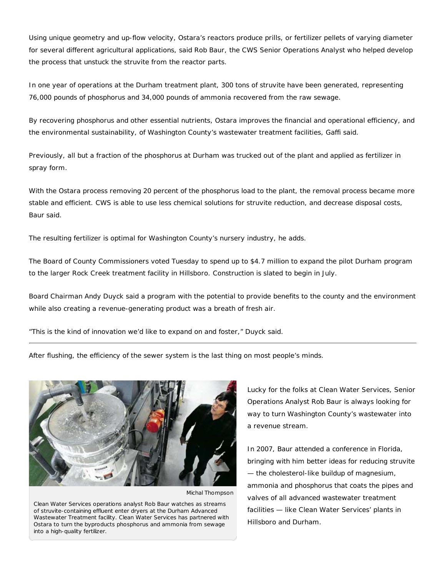Using unique geometry and up-flow velocity, Ostara's reactors produce prills, or fertilizer pellets of varying diameter for several different agricultural applications, said Rob Baur, the CWS Senior Operations Analyst who helped develop the process that unstuck the struvite from the reactor parts.

In one year of operations at the Durham treatment plant, 300 tons of struvite have been generated, representing 76,000 pounds of phosphorus and 34,000 pounds of ammonia recovered from the raw sewage.

By recovering phosphorus and other essential nutrients, Ostara improves the financial and operational efficiency, and the environmental sustainability, of Washington County's wastewater treatment facilities, Gaffi said.

Previously, all but a fraction of the phosphorus at Durham was trucked out of the plant and applied as fertilizer in spray form.

With the Ostara process removing 20 percent of the phosphorus load to the plant, the removal process became more stable and efficient. CWS is able to use less chemical solutions for struvite reduction, and decrease disposal costs, Baur said.

The resulting fertilizer is optimal for Washington County's nursery industry, he adds.

The Board of County Commissioners voted Tuesday to spend up to \$4.7 million to expand the pilot Durham program to the larger Rock Creek treatment facility in Hillsboro. Construction is slated to begin in July.

Board Chairman Andy Duyck said a program with the potential to provide benefits to the county and the environment while also creating a revenue-generating product was a breath of fresh air.

"This is the kind of innovation we'd like to expand on and foster," Duyck said.

After flushing, the efficiency of the sewer system is the last thing on most people's minds.



Michal Thompson

Clean Water Services operations analyst Rob Baur watches as streams of struvite-containing effluent enter dryers at the Durham Advanced Wastewater Treatment facility. Clean Water Services has partnered with Ostara to turn the byproducts phosphorus and ammonia from sewage into a high-quality fertilizer.

Lucky for the folks at Clean Water Services, Senior Operations Analyst Rob Baur is always looking for way to turn Washington County's wastewater into a revenue stream.

In 2007, Baur attended a conference in Florida, bringing with him better ideas for reducing struvite — the cholesterol-like buildup of magnesium, ammonia and phosphorus that coats the pipes and valves of all advanced wastewater treatment facilities — like Clean Water Services' plants in Hillsboro and Durham.